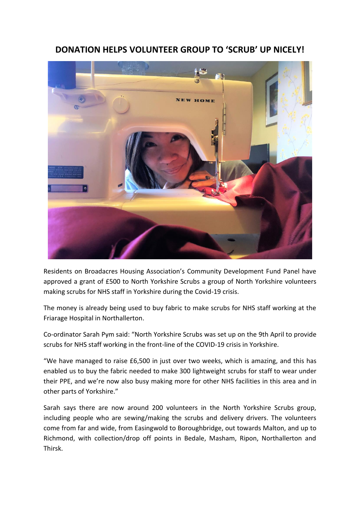## **DONATION HELPS VOLUNTEER GROUP TO 'SCRUB' UP NICELY!**



Residents on Broadacres Housing Association's Community Development Fund Panel have approved a grant of £500 to North Yorkshire Scrubs a group of North Yorkshire volunteers making scrubs for NHS staff in Yorkshire during the Covid-19 crisis.

The money is already being used to buy fabric to make scrubs for NHS staff working at the Friarage Hospital in Northallerton.

Co-ordinator Sarah Pym said: "North Yorkshire Scrubs was set up on the 9th April to provide scrubs for NHS staff working in the front-line of the COVID-19 crisis in Yorkshire.

"We have managed to raise £6,500 in just over two weeks, which is amazing, and this has enabled us to buy the fabric needed to make 300 lightweight scrubs for staff to wear under their PPE, and we're now also busy making more for other NHS facilities in this area and in other parts of Yorkshire."

Sarah says there are now around 200 volunteers in the North Yorkshire Scrubs group, including people who are sewing/making the scrubs and delivery drivers. The volunteers come from far and wide, from Easingwold to Boroughbridge, out towards Malton, and up to Richmond, with collection/drop off points in Bedale, Masham, Ripon, Northallerton and Thirsk.